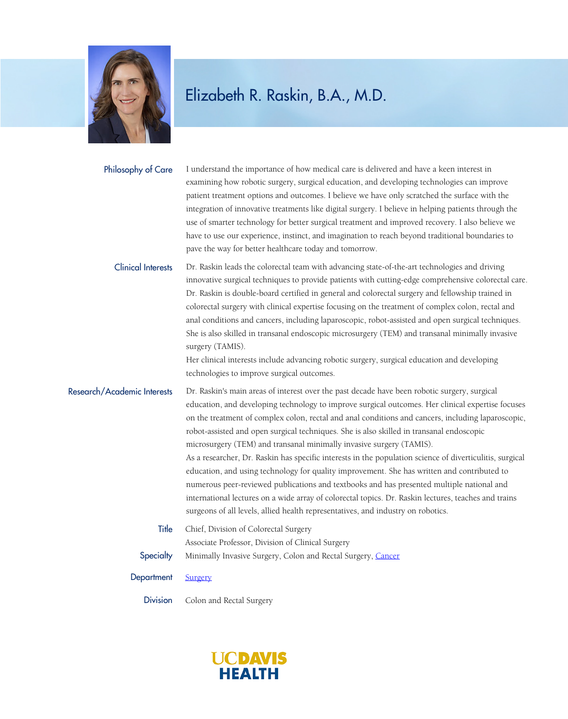

| Philosophy of Care          | I understand the importance of how medical care is delivered and have a keen interest in<br>examining how robotic surgery, surgical education, and developing technologies can improve<br>patient treatment options and outcomes. I believe we have only scratched the surface with the<br>integration of innovative treatments like digital surgery. I believe in helping patients through the<br>use of smarter technology for better surgical treatment and improved recovery. I also believe we<br>have to use our experience, instinct, and imagination to reach beyond traditional boundaries to<br>pave the way for better healthcare today and tomorrow.                                                                                                                                                                                                                                                                                                                |
|-----------------------------|---------------------------------------------------------------------------------------------------------------------------------------------------------------------------------------------------------------------------------------------------------------------------------------------------------------------------------------------------------------------------------------------------------------------------------------------------------------------------------------------------------------------------------------------------------------------------------------------------------------------------------------------------------------------------------------------------------------------------------------------------------------------------------------------------------------------------------------------------------------------------------------------------------------------------------------------------------------------------------|
| <b>Clinical Interests</b>   | Dr. Raskin leads the colorectal team with advancing state-of-the-art technologies and driving<br>innovative surgical techniques to provide patients with cutting-edge comprehensive colorectal care.<br>Dr. Raskin is double-board certified in general and colorectal surgery and fellowship trained in<br>colorectal surgery with clinical expertise focusing on the treatment of complex colon, rectal and<br>anal conditions and cancers, including laparoscopic, robot-assisted and open surgical techniques.<br>She is also skilled in transanal endoscopic microsurgery (TEM) and transanal minimally invasive<br>surgery (TAMIS).<br>Her clinical interests include advancing robotic surgery, surgical education and developing<br>technologies to improve surgical outcomes.                                                                                                                                                                                          |
| Research/Academic Interests | Dr. Raskin's main areas of interest over the past decade have been robotic surgery, surgical<br>education, and developing technology to improve surgical outcomes. Her clinical expertise focuses<br>on the treatment of complex colon, rectal and anal conditions and cancers, including laparoscopic,<br>robot-assisted and open surgical techniques. She is also skilled in transanal endoscopic<br>microsurgery (TEM) and transanal minimally invasive surgery (TAMIS).<br>As a researcher, Dr. Raskin has specific interests in the population science of diverticulitis, surgical<br>education, and using technology for quality improvement. She has written and contributed to<br>numerous peer-reviewed publications and textbooks and has presented multiple national and<br>international lectures on a wide array of colorectal topics. Dr. Raskin lectures, teaches and trains<br>surgeons of all levels, allied health representatives, and industry on robotics. |
| Title                       | Chief, Division of Colorectal Surgery                                                                                                                                                                                                                                                                                                                                                                                                                                                                                                                                                                                                                                                                                                                                                                                                                                                                                                                                           |
| Specialty                   | Associate Professor, Division of Clinical Surgery<br>Minimally Invasive Surgery, Colon and Rectal Surgery, Cancer                                                                                                                                                                                                                                                                                                                                                                                                                                                                                                                                                                                                                                                                                                                                                                                                                                                               |
| Department                  | Surgery                                                                                                                                                                                                                                                                                                                                                                                                                                                                                                                                                                                                                                                                                                                                                                                                                                                                                                                                                                         |
| <b>Division</b>             | Colon and Rectal Surgery                                                                                                                                                                                                                                                                                                                                                                                                                                                                                                                                                                                                                                                                                                                                                                                                                                                                                                                                                        |

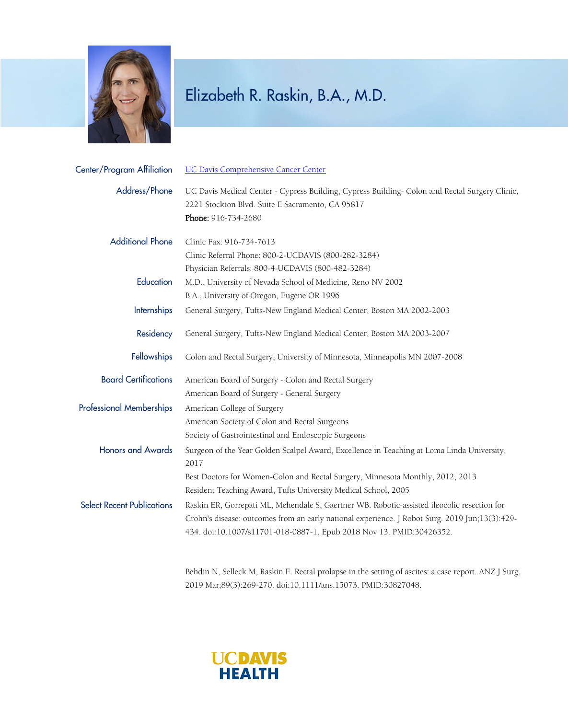

| Center/Program Affiliation        | <b>UC Davis Comprehensive Cancer Center</b>                                                                                                                                                                                                                           |
|-----------------------------------|-----------------------------------------------------------------------------------------------------------------------------------------------------------------------------------------------------------------------------------------------------------------------|
| Address/Phone                     | UC Davis Medical Center - Cypress Building, Cypress Building- Colon and Rectal Surgery Clinic,<br>2221 Stockton Blvd. Suite E Sacramento, CA 95817<br>Phone: 916-734-2680                                                                                             |
| <b>Additional Phone</b>           | Clinic Fax: 916-734-7613<br>Clinic Referral Phone: 800-2-UCDAVIS (800-282-3284)                                                                                                                                                                                       |
| Education                         | Physician Referrals: 800-4-UCDAVIS (800-482-3284)<br>M.D., University of Nevada School of Medicine, Reno NV 2002<br>B.A., University of Oregon, Eugene OR 1996                                                                                                        |
| Internships                       | General Surgery, Tufts-New England Medical Center, Boston MA 2002-2003                                                                                                                                                                                                |
| Residency                         | General Surgery, Tufts-New England Medical Center, Boston MA 2003-2007                                                                                                                                                                                                |
| <b>Fellowships</b>                | Colon and Rectal Surgery, University of Minnesota, Minneapolis MN 2007-2008                                                                                                                                                                                           |
| <b>Board Certifications</b>       | American Board of Surgery - Colon and Rectal Surgery<br>American Board of Surgery - General Surgery                                                                                                                                                                   |
| <b>Professional Memberships</b>   | American College of Surgery<br>American Society of Colon and Rectal Surgeons<br>Society of Gastrointestinal and Endoscopic Surgeons                                                                                                                                   |
| <b>Honors and Awards</b>          | Surgeon of the Year Golden Scalpel Award, Excellence in Teaching at Loma Linda University,<br>2017                                                                                                                                                                    |
|                                   | Best Doctors for Women-Colon and Rectal Surgery, Minnesota Monthly, 2012, 2013<br>Resident Teaching Award, Tufts University Medical School, 2005                                                                                                                      |
| <b>Select Recent Publications</b> | Raskin ER, Gorrepati ML, Mehendale S, Gaertner WB. Robotic-assisted ileocolic resection for<br>Crohn's disease: outcomes from an early national experience. J Robot Surg. 2019 Jun;13(3):429-<br>434. doi:10.1007/s11701-018-0887-1. Epub 2018 Nov 13. PMID:30426352. |

Behdin N, Selleck M, Raskin E. Rectal prolapse in the setting of ascites: a case report. ANZ J Surg. 2019 Mar;89(3):269-270. doi:10.1111/ans.15073. PMID:30827048.

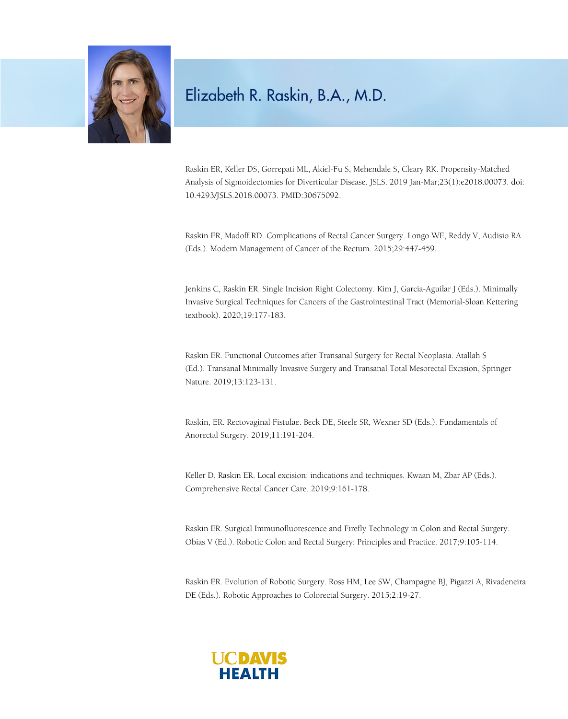

Raskin ER, Keller DS, Gorrepati ML, Akiel-Fu S, Mehendale S, Cleary RK. Propensity-Matched Analysis of Sigmoidectomies for Diverticular Disease. JSLS. 2019 Jan-Mar;23(1):e2018.00073. doi: 10.4293/JSLS.2018.00073. PMID:30675092.

Raskin ER, Madoff RD. Complications of Rectal Cancer Surgery. Longo WE, Reddy V, Audisio RA (Eds.). Modern Management of Cancer of the Rectum. 2015;29:447-459.

Jenkins C, Raskin ER. Single Incision Right Colectomy. Kim J, Garcia-Aguilar J (Eds.). Minimally Invasive Surgical Techniques for Cancers of the Gastrointestinal Tract (Memorial-Sloan Kettering textbook). 2020;19:177-183.

Raskin ER. Functional Outcomes after Transanal Surgery for Rectal Neoplasia. Atallah S (Ed.). Transanal Minimally Invasive Surgery and Transanal Total Mesorectal Excision, Springer Nature. 2019;13:123-131.

Raskin, ER. Rectovaginal Fistulae. Beck DE, Steele SR, Wexner SD (Eds.). Fundamentals of Anorectal Surgery. 2019;11:191-204.

Keller D, Raskin ER. Local excision: indications and techniques. Kwaan M, Zbar AP (Eds.). Comprehensive Rectal Cancer Care. 2019;9:161-178.

Raskin ER. Surgical Immunofluorescence and Firefly Technology in Colon and Rectal Surgery. Obias V (Ed.). Robotic Colon and Rectal Surgery: Principles and Practice. 2017;9:105-114.

Raskin ER. Evolution of Robotic Surgery. Ross HM, Lee SW, Champagne BJ, Pigazzi A, Rivadeneira DE (Eds.). Robotic Approaches to Colorectal Surgery. 2015;2:19-27.